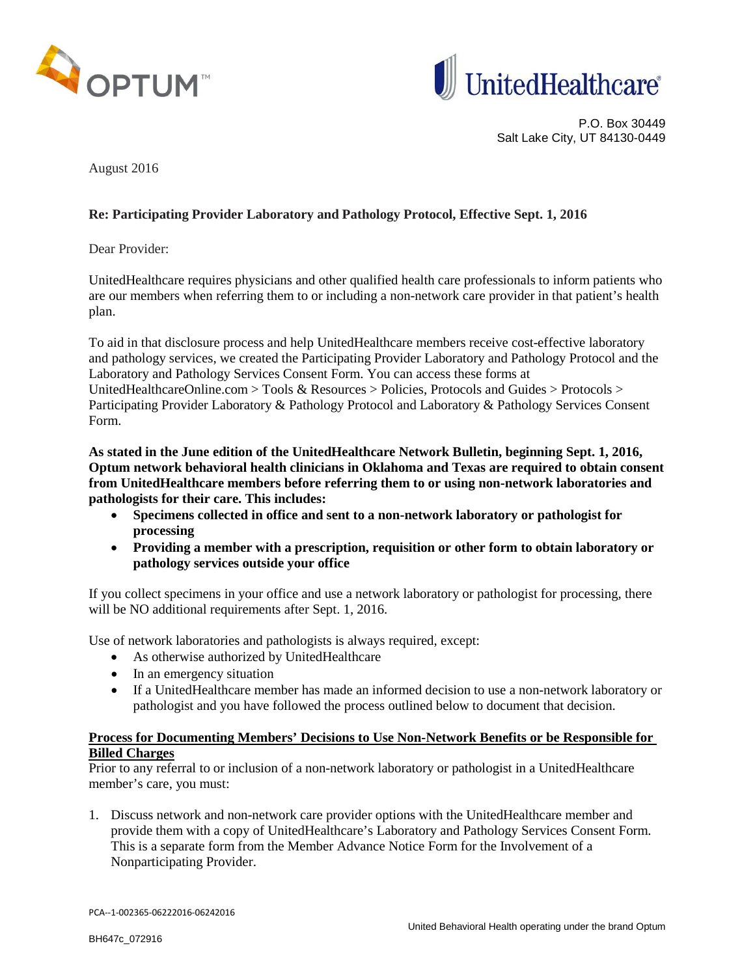



P.O. Box 30449 Salt Lake City, UT 84130-0449

August 2016

## **Re: Participating Provider Laboratory and Pathology Protocol, Effective Sept. 1, 2016**

Dear Provider:

UnitedHealthcare requires physicians and other qualified health care professionals to inform patients who are our members when referring them to or including a non-network care provider in that patient's health plan.

To aid in that disclosure process and help UnitedHealthcare members receive cost-effective laboratory and pathology services, we created the Participating Provider Laboratory and Pathology Protocol and the Laboratory and Pathology Services Consent Form. You can access these forms at UnitedHealthcareOnline.com > Tools & Resources > Policies, Protocols and Guides > Protocols > Participating Provider Laboratory & Pathology Protocol and Laboratory & Pathology Services Consent Form.

**As stated in the June edition of the UnitedHealthcare Network Bulletin, beginning Sept. 1, 2016, Optum network behavioral health clinicians in Oklahoma and Texas are required to obtain consent from UnitedHealthcare members before referring them to or using non-network laboratories and pathologists for their care. This includes:**

- **Specimens collected in office and sent to a non-network laboratory or pathologist for processing**
- **Providing a member with a prescription, requisition or other form to obtain laboratory or pathology services outside your office**

If you collect specimens in your office and use a network laboratory or pathologist for processing, there will be NO additional requirements after Sept. 1, 2016.

Use of network laboratories and pathologists is always required, except:

- As otherwise authorized by UnitedHealthcare
- In an emergency situation
- If a UnitedHealthcare member has made an informed decision to use a non-network laboratory or pathologist and you have followed the process outlined below to document that decision.

## **Process for Documenting Members' Decisions to Use Non-Network Benefits or be Responsible for Billed Charges**

Prior to any referral to or inclusion of a non-network laboratory or pathologist in a UnitedHealthcare member's care, you must:

1. Discuss network and non-network care provider options with the UnitedHealthcare member and provide them with a copy of UnitedHealthcare's Laboratory and Pathology Services Consent Form. This is a separate form from the Member Advance Notice Form for the Involvement of a Nonparticipating Provider.